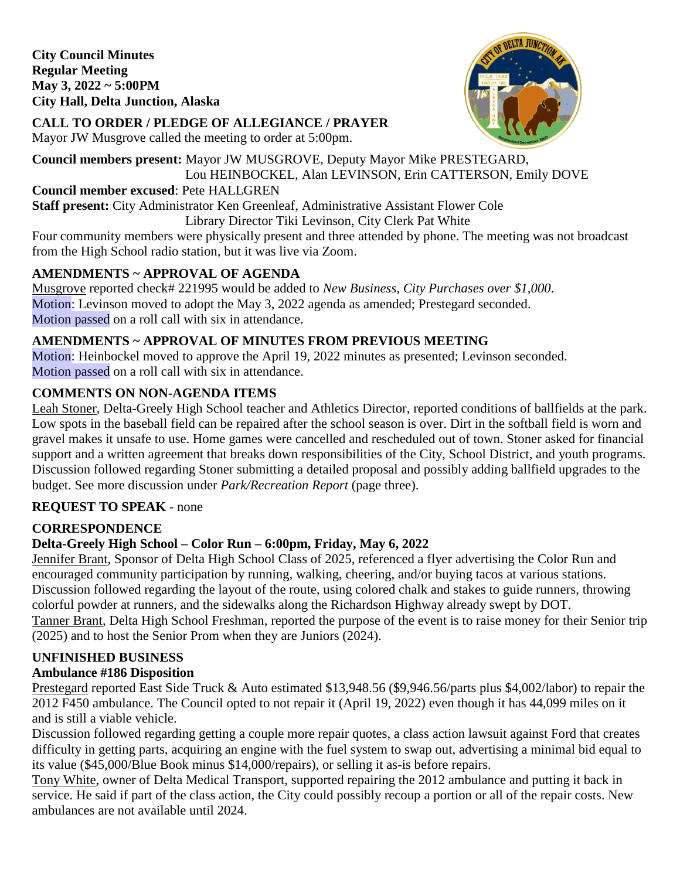**City Council Minutes Regular Meeting May 3, 2022 ~ 5:00PM City Hall, Delta Junction, Alaska** 



# **CALL TO ORDER / PLEDGE OF ALLEGIANCE / PRAYER**

Mayor JW Musgrove called the meeting to order at 5:00pm.

**Council members present:** Mayor JW MUSGROVE, Deputy Mayor Mike PRESTEGARD, Lou HEINBOCKEL, Alan LEVINSON, Erin CATTERSON, Emily DOVE

#### **Council member excused**: Pete HALLGREN

**Staff present:** City Administrator Ken Greenleaf, Administrative Assistant Flower Cole

#### Library Director Tiki Levinson, City Clerk Pat White

Four community members were physically present and three attended by phone. The meeting was not broadcast from the High School radio station, but it was live via Zoom.

# **AMENDMENTS ~ APPROVAL OF AGENDA**

Musgrove reported check# 221995 would be added to *New Business, City Purchases over \$1,000*. Motion: Levinson moved to adopt the May 3, 2022 agenda as amended; Prestegard seconded. Motion passed on a roll call with six in attendance.

# **AMENDMENTS ~ APPROVAL OF MINUTES FROM PREVIOUS MEETING**

Motion: Heinbockel moved to approve the April 19, 2022 minutes as presented; Levinson seconded. Motion passed on a roll call with six in attendance.

# **COMMENTS ON NON-AGENDA ITEMS**

Leah Stoner, Delta-Greely High School teacher and Athletics Director, reported conditions of ballfields at the park. Low spots in the baseball field can be repaired after the school season is over. Dirt in the softball field is worn and gravel makes it unsafe to use. Home games were cancelled and rescheduled out of town. Stoner asked for financial support and a written agreement that breaks down responsibilities of the City, School District, and youth programs. Discussion followed regarding Stoner submitting a detailed proposal and possibly adding ballfield upgrades to the budget. See more discussion under *Park/Recreation Report* (page three).

# **REQUEST TO SPEAK** - none

# **CORRESPONDENCE**

# **Delta-Greely High School – Color Run – 6:00pm, Friday, May 6, 2022**

Jennifer Brant, Sponsor of Delta High School Class of 2025, referenced a flyer advertising the Color Run and encouraged community participation by running, walking, cheering, and/or buying tacos at various stations. Discussion followed regarding the layout of the route, using colored chalk and stakes to guide runners, throwing colorful powder at runners, and the sidewalks along the Richardson Highway already swept by DOT. Tanner Brant, Delta High School Freshman, reported the purpose of the event is to raise money for their Senior trip (2025) and to host the Senior Prom when they are Juniors (2024).

# **UNFINISHED BUSINESS**

# **Ambulance #186 Disposition**

Prestegard reported East Side Truck & Auto estimated \$13,948.56 (\$9,946.56/parts plus \$4,002/labor) to repair the 2012 F450 ambulance. The Council opted to not repair it (April 19, 2022) even though it has 44,099 miles on it and is still a viable vehicle.

Discussion followed regarding getting a couple more repair quotes, a class action lawsuit against Ford that creates difficulty in getting parts, acquiring an engine with the fuel system to swap out, advertising a minimal bid equal to its value (\$45,000/Blue Book minus \$14,000/repairs), or selling it as-is before repairs.

Tony White, owner of Delta Medical Transport, supported repairing the 2012 ambulance and putting it back in service. He said if part of the class action, the City could possibly recoup a portion or all of the repair costs. New ambulances are not available until 2024.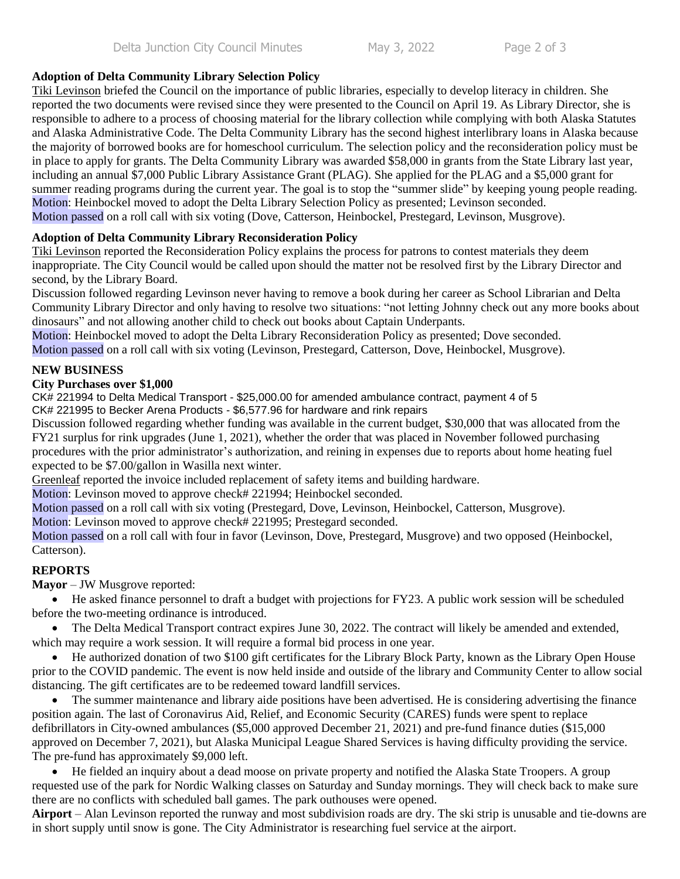#### **Adoption of Delta Community Library Selection Policy**

Tiki Levinson briefed the Council on the importance of public libraries, especially to develop literacy in children. She reported the two documents were revised since they were presented to the Council on April 19. As Library Director, she is responsible to adhere to a process of choosing material for the library collection while complying with both Alaska Statutes and Alaska Administrative Code. The Delta Community Library has the second highest interlibrary loans in Alaska because the majority of borrowed books are for homeschool curriculum. The selection policy and the reconsideration policy must be in place to apply for grants. The Delta Community Library was awarded \$58,000 in grants from the State Library last year, including an annual \$7,000 Public Library Assistance Grant (PLAG). She applied for the PLAG and a \$5,000 grant for summer reading programs during the current year. The goal is to stop the "summer slide" by keeping young people reading. Motion: Heinbockel moved to adopt the Delta Library Selection Policy as presented; Levinson seconded. Motion passed on a roll call with six voting (Dove, Catterson, Heinbockel, Prestegard, Levinson, Musgrove).

#### **Adoption of Delta Community Library Reconsideration Policy**

Tiki Levinson reported the Reconsideration Policy explains the process for patrons to contest materials they deem inappropriate. The City Council would be called upon should the matter not be resolved first by the Library Director and second, by the Library Board.

Discussion followed regarding Levinson never having to remove a book during her career as School Librarian and Delta Community Library Director and only having to resolve two situations: "not letting Johnny check out any more books about dinosaurs" and not allowing another child to check out books about Captain Underpants.

Motion: Heinbockel moved to adopt the Delta Library Reconsideration Policy as presented; Dove seconded.

Motion passed on a roll call with six voting (Levinson, Prestegard, Catterson, Dove, Heinbockel, Musgrove).

#### **NEW BUSINESS**

#### **City Purchases over \$1,000**

CK# 221994 to Delta Medical Transport - \$25,000.00 for amended ambulance contract, payment 4 of 5 CK# 221995 to Becker Arena Products - \$6,577.96 for hardware and rink repairs

Discussion followed regarding whether funding was available in the current budget, \$30,000 that was allocated from the FY21 surplus for rink upgrades (June 1, 2021), whether the order that was placed in November followed purchasing procedures with the prior administrator's authorization, and reining in expenses due to reports about home heating fuel expected to be \$7.00/gallon in Wasilla next winter.

Greenleaf reported the invoice included replacement of safety items and building hardware.

Motion: Levinson moved to approve check# 221994; Heinbockel seconded.

Motion passed on a roll call with six voting (Prestegard, Dove, Levinson, Heinbockel, Catterson, Musgrove).

Motion: Levinson moved to approve check# 221995; Prestegard seconded.

Motion passed on a roll call with four in favor (Levinson, Dove, Prestegard, Musgrove) and two opposed (Heinbockel, Catterson).

#### **REPORTS**

**Mayor** – JW Musgrove reported:

 He asked finance personnel to draft a budget with projections for FY23. A public work session will be scheduled before the two-meeting ordinance is introduced.

 The Delta Medical Transport contract expires June 30, 2022. The contract will likely be amended and extended, which may require a work session. It will require a formal bid process in one year.

 He authorized donation of two \$100 gift certificates for the Library Block Party, known as the Library Open House prior to the COVID pandemic. The event is now held inside and outside of the library and Community Center to allow social distancing. The gift certificates are to be redeemed toward landfill services.

 The summer maintenance and library aide positions have been advertised. He is considering advertising the finance position again. The last of Coronavirus Aid, Relief, and Economic Security (CARES) funds were spent to replace defibrillators in City-owned ambulances (\$5,000 approved December 21, 2021) and pre-fund finance duties (\$15,000 approved on December 7, 2021), but Alaska Municipal League Shared Services is having difficulty providing the service. The pre-fund has approximately \$9,000 left.

 He fielded an inquiry about a dead moose on private property and notified the Alaska State Troopers. A group requested use of the park for Nordic Walking classes on Saturday and Sunday mornings. They will check back to make sure there are no conflicts with scheduled ball games. The park outhouses were opened.

**Airport** – Alan Levinson reported the runway and most subdivision roads are dry. The ski strip is unusable and tie-downs are in short supply until snow is gone. The City Administrator is researching fuel service at the airport.